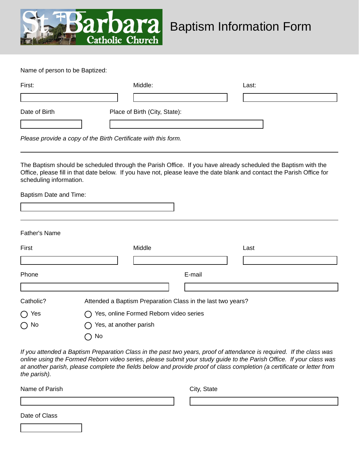

Name of person to be Baptized:

| First:        | Middle:                       | Last: |  |
|---------------|-------------------------------|-------|--|
|               |                               |       |  |
| Date of Birth | Place of Birth (City, State): |       |  |
|               |                               |       |  |

*Please provide a copy of the Birth Certificate with this form.*

The Baptism should be scheduled through the Parish Office. If you have already scheduled the Baptism with the Office, please fill in that date below. If you have not, please leave the date blank and contact the Parish Office for scheduling information.

Baptism Date and Time:

| First        | Middle                                                                                  | Last |
|--------------|-----------------------------------------------------------------------------------------|------|
|              |                                                                                         |      |
| Phone        | E-mail                                                                                  |      |
|              |                                                                                         |      |
| Catholic?    | Attended a Baptism Preparation Class in the last two years?                             |      |
| Yes          | Yes, online Formed Reborn video series<br>$\left( \begin{array}{c} \end{array} \right)$ |      |
| $\bigcap$ No | Yes, at another parish                                                                  |      |
|              | No                                                                                      |      |

*If you attended a Baptism Preparation Class in the past two years, proof of attendance is required. If the class was online using the Formed Reborn video series, please submit your study guide to the Parish Office. If your class was at another parish, please complete the fields below and provide proof of class completion (a certificate or letter from the parish).*

| Name of Parish | City, State |
|----------------|-------------|
|                |             |
| Date of Class  |             |